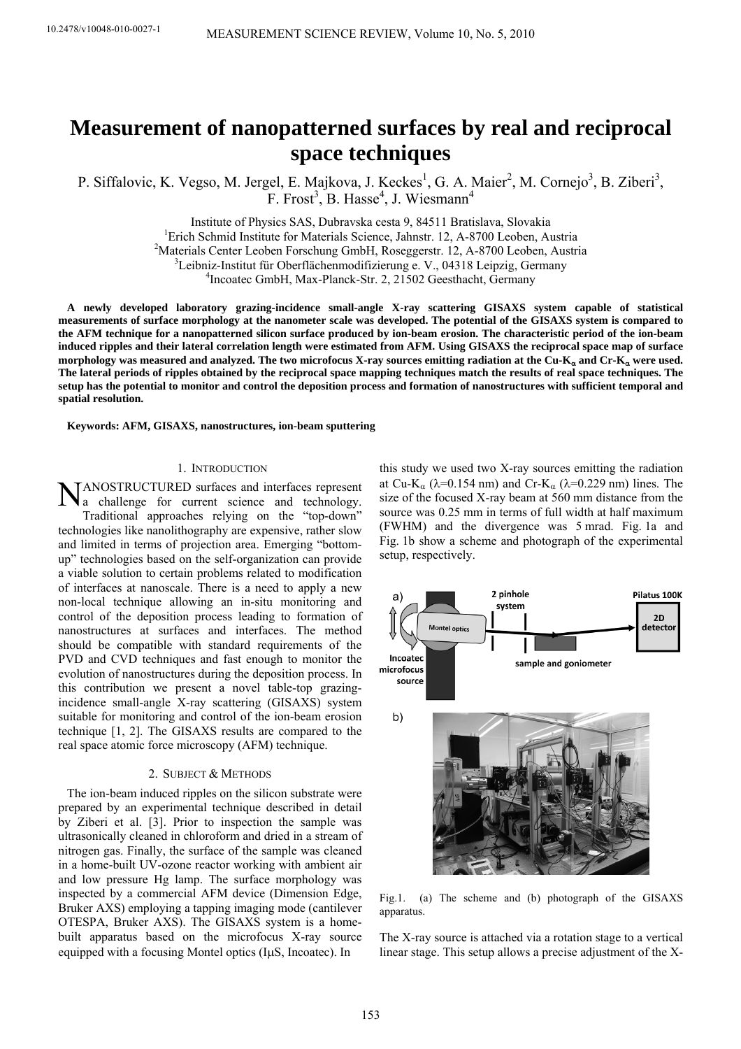# **Measurement of nanopatterned surfaces by real and reciprocal space techniques**

P. Siffalovic, K. Vegso, M. Jergel, E. Majkova, J. Keckes<sup>1</sup>, G. A. Maier<sup>2</sup>, M. Cornejo<sup>3</sup>, B. Ziberi<sup>3</sup>,  $F.$  Frost<sup>3</sup>, B. Hasse<sup>4</sup>, J. Wiesmann<sup>4</sup>

Institute of Physics SAS, Dubravska cesta 9, 84511 Bratislava, Slovakia 1

<sup>1</sup>Erich Schmid Institute for Materials Science, Jahnstr. 12, A-8700 Leoben, Austria

<sup>2</sup>Materials Center Leoben Forschung GmbH, Roseggerstr. 12, A-8700 Leoben, Austria

 ${}^{3}$ Leibniz-Institut für Oberflächenmodifizierung e. V., 04318 Leipzig, Germany

<sup>4</sup> Incoatec GmbH, Max-Planck-Str. 2, 21502 Geesthacht, Germany

**A newly developed laboratory grazing-incidence small-angle X-ray scattering GISAXS system capable of statistical measurements of surface morphology at the nanometer scale was developed. The potential of the GISAXS system is compared to the AFM technique for a nanopatterned silicon surface produced by ion-beam erosion. The characteristic period of the ion-beam induced ripples and their lateral correlation length were estimated from AFM. Using GISAXS the reciprocal space map of surface morphology was measured and analyzed. The two microfocus X-ray sources emitting radiation at the Cu-K**α **and Cr-K**α **were used. The lateral periods of ripples obtained by the reciprocal space mapping techniques match the results of real space techniques. The setup has the potential to monitor and control the deposition process and formation of nanostructures with sufficient temporal and spatial resolution.** 

**Keywords: AFM, GISAXS, nanostructures, ion-beam sputtering** 

### 1. INTRODUCTION

NANOSTRUCTURED surfaces and interfaces represent<br>a challenge for current science and technology. a challenge for current science and technology. Traditional approaches relying on the "top-down" technologies like nanolithography are expensive, rather slow and limited in terms of projection area. Emerging "bottomup" technologies based on the self-organization can provide a viable solution to certain problems related to modification of interfaces at nanoscale. There is a need to apply a new non-local technique allowing an in-situ monitoring and control of the deposition process leading to formation of nanostructures at surfaces and interfaces. The method should be compatible with standard requirements of the PVD and CVD techniques and fast enough to monitor the evolution of nanostructures during the deposition process. In this contribution we present a novel table-top grazingincidence small-angle X-ray scattering (GISAXS) system suitable for monitoring and control of the ion-beam erosion technique [1, 2]. The GISAXS results are compared to the real space atomic force microscopy (AFM) technique.

#### 2. SUBJECT & METHODS

The ion-beam induced ripples on the silicon substrate were prepared by an experimental technique described in detail by Ziberi et al. [3]. Prior to inspection the sample was ultrasonically cleaned in chloroform and dried in a stream of nitrogen gas. Finally, the surface of the sample was cleaned in a home-built UV-ozone reactor working with ambient air and low pressure Hg lamp. The surface morphology was inspected by a commercial AFM device (Dimension Edge, Bruker AXS) employing a tapping imaging mode (cantilever OTESPA, Bruker AXS). The GISAXS system is a homebuilt apparatus based on the microfocus X-ray source equipped with a focusing Montel optics (IμS, Incoatec). In

this study we used two X-ray sources emitting the radiation at Cu-K<sub>α</sub> ( $\lambda$ =0.154 nm) and Cr-K<sub>α</sub> ( $\lambda$ =0.229 nm) lines. The size of the focused X-ray beam at 560 mm distance from the source was 0.25 mm in terms of full width at half maximum (FWHM) and the divergence was 5 mrad. Fig. 1a and Fig. 1b show a scheme and photograph of the experimental setup, respectively.



Fig.1. (a) The scheme and (b) photograph of the GISAXS apparatus.

The X-ray source is attached via a rotation stage to a vertical linear stage. This setup allows a precise adjustment of the X-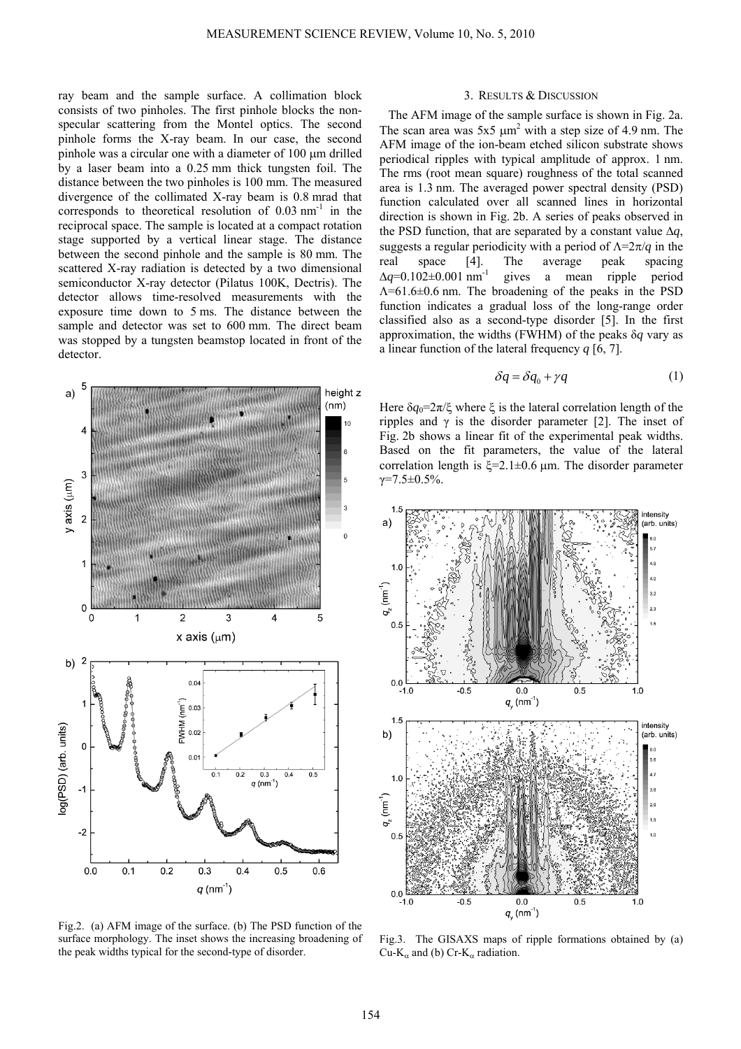ray beam and the sample surface. A collimation block consists of two pinholes. The first pinhole blocks the nonspecular scattering from the Montel optics. The second pinhole forms the X-ray beam. In our case, the second pinhole was a circular one with a diameter of 100 μm drilled by a laser beam into a 0.25 mm thick tungsten foil. The distance between the two pinholes is 100 mm. The measured divergence of the collimated X-ray beam is 0.8 mrad that corresponds to theoretical resolution of  $0.03$  nm<sup>-1</sup> in the reciprocal space. The sample is located at a compact rotation stage supported by a vertical linear stage. The distance between the second pinhole and the sample is 80 mm. The scattered X-ray radiation is detected by a two dimensional semiconductor X-ray detector (Pilatus 100K, Dectris). The detector allows time-resolved measurements with the exposure time down to 5 ms. The distance between the sample and detector was set to 600 mm. The direct beam was stopped by a tungsten beamstop located in front of the detector.



Fig.2. (a) AFM image of the surface. (b) The PSD function of the surface morphology. The inset shows the increasing broadening of the peak widths typical for the second-type of disorder.

### 3. RESULTS & DISCUSSION

The AFM image of the sample surface is shown in Fig. 2a. The scan area was  $5x5 \mu m^2$  with a step size of 4.9 nm. The AFM image of the ion-beam etched silicon substrate shows periodical ripples with typical amplitude of approx. 1 nm. The rms (root mean square) roughness of the total scanned area is 1.3 nm. The averaged power spectral density (PSD) function calculated over all scanned lines in horizontal direction is shown in Fig. 2b. A series of peaks observed in the PSD function, that are separated by a constant value  $\Delta q$ , suggests a regular periodicity with a period of Λ=2π/*q* in the real space [4]. The average peak spacing  $\Delta q = 0.102 \pm 0.001$  nm<sup>-1</sup> gives a mean ripple period Λ=61.6±0.6 nm. The broadening of the peaks in the PSD function indicates a gradual loss of the long-range order classified also as a second-type disorder [5]. In the first approximation, the widths (FWHM) of the peaks δ*q* vary as a linear function of the lateral frequency *q* [6, 7].

$$
\delta q = \delta q_0 + \gamma q \tag{1}
$$

Here  $\delta q_0 = 2\pi/\xi$  where  $\xi$  is the lateral correlation length of the ripples and  $γ$  is the disorder parameter [2]. The inset of Fig. 2b shows a linear fit of the experimental peak widths. Based on the fit parameters, the value of the lateral correlation length is  $ξ=2.1±0.6 \mu m$ . The disorder parameter  $γ=7.5±0.5%$ .



Fig.3. The GISAXS maps of ripple formations obtained by (a) Cu-K<sub>α</sub> and (b) Cr-K<sub>α</sub> radiation.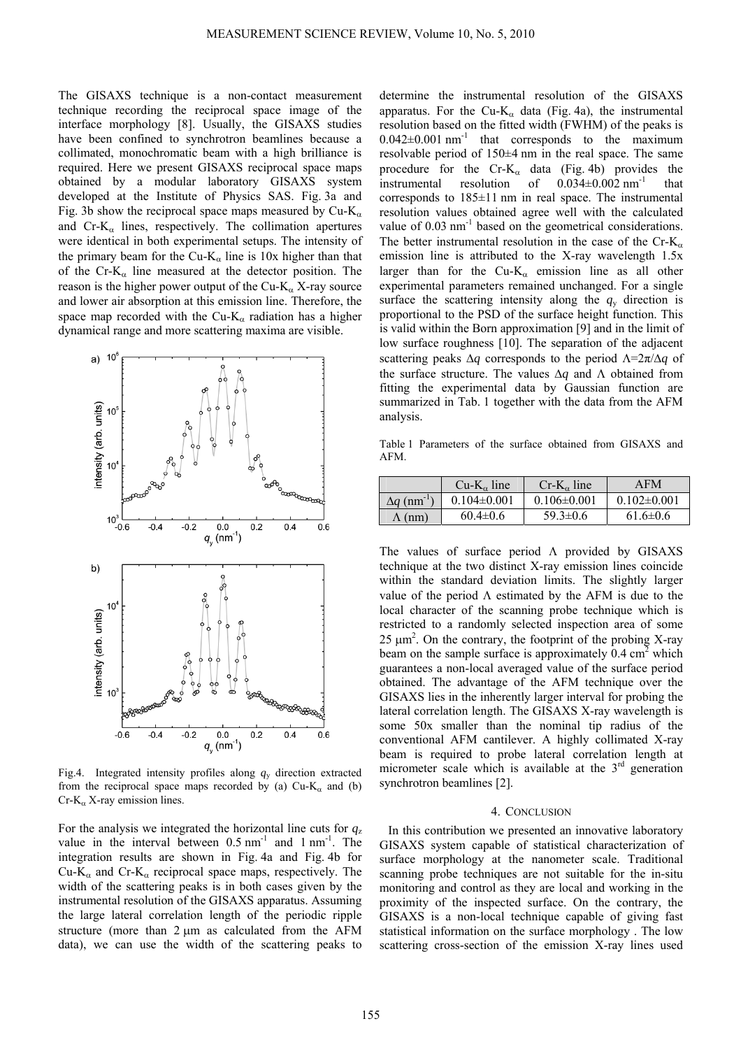The GISAXS technique is a non-contact measurement technique recording the reciprocal space image of the interface morphology [8]. Usually, the GISAXS studies have been confined to synchrotron beamlines because a collimated, monochromatic beam with a high brilliance is required. Here we present GISAXS reciprocal space maps obtained by a modular laboratory GISAXS system developed at the Institute of Physics SAS. Fig. 3a and Fig. 3b show the reciprocal space maps measured by Cu-K<sub>α</sub> and  $Cr-K<sub>α</sub>$  lines, respectively. The collimation apertures were identical in both experimental setups. The intensity of the primary beam for the Cu-K<sub>α</sub> line is 10x higher than that of the Cr-K<sub>a</sub> line measured at the detector position. The reason is the higher power output of the Cu-K<sub>α</sub> X-ray source and lower air absorption at this emission line. Therefore, the space map recorded with the Cu-K<sub>α</sub> radiation has a higher dynamical range and more scattering maxima are visible.



Fig.4. Integrated intensity profiles along  $q<sub>y</sub>$  direction extracted from the reciprocal space maps recorded by (a)  $Cu-K<sub>α</sub>$  and (b)  $Cr-K_{\alpha}$  X-ray emission lines.

For the analysis we integrated the horizontal line cuts for  $q<sub>z</sub>$ value in the interval between  $0.5 \text{ nm}^{-1}$  and  $1 \text{ nm}^{-1}$ . The integration results are shown in Fig. 4a and Fig. 4b for Cu-K<sub>α</sub> and Cr-K<sub>α</sub> reciprocal space maps, respectively. The width of the scattering peaks is in both cases given by the instrumental resolution of the GISAXS apparatus. Assuming the large lateral correlation length of the periodic ripple structure (more than 2 μm as calculated from the AFM data), we can use the width of the scattering peaks to

determine the instrumental resolution of the GISAXS apparatus. For the Cu-K<sub>α</sub> data (Fig. 4a), the instrumental resolution based on the fitted width (FWHM) of the peaks is  $0.042\pm0.001$  nm<sup>-1</sup> that corresponds to the maximum resolvable period of 150±4 nm in the real space. The same procedure for the Cr-K<sub> $\alpha$ </sub> data (Fig. 4b) provides the instrumental resolution of  $0.034 \pm 0.002$  nm<sup>-1</sup> that corresponds to 185±11 nm in real space. The instrumental resolution values obtained agree well with the calculated value of  $0.03$  nm<sup>-1</sup> based on the geometrical considerations. The better instrumental resolution in the case of the Cr-K<sub>α</sub> emission line is attributed to the X-ray wavelength 1.5x larger than for the Cu-K<sub>a</sub> emission line as all other experimental parameters remained unchanged. For a single surface the scattering intensity along the  $q<sub>y</sub>$  direction is proportional to the PSD of the surface height function. This is valid within the Born approximation [9] and in the limit of low surface roughness [10]. The separation of the adjacent scattering peaks Δ*q* corresponds to the period Λ=2π/Δ*q* of the surface structure. The values Δ*q* and Λ obtained from fitting the experimental data by Gaussian function are summarized in Tab. 1 together with the data from the AFM analysis.

Table 1 Parameters of the surface obtained from GISAXS and AFM.

|                               | $Cu-K_{\alpha}$ line | $Cr-K_{\alpha}$ line | AFM               |
|-------------------------------|----------------------|----------------------|-------------------|
| $\Delta q$ (nm <sup>-1)</sup> | $0.104 \pm 0.001$    | $0.106 \pm 0.001$    | $0.102 \pm 0.001$ |
| $\Lambda$ (nm)                | $60.4 \pm 0.6$       | $59.3 \pm 0.6$       | $61.6 \pm 0.6$    |

The values of surface period Λ provided by GISAXS technique at the two distinct X-ray emission lines coincide within the standard deviation limits. The slightly larger value of the period  $\Lambda$  estimated by the AFM is due to the local character of the scanning probe technique which is restricted to a randomly selected inspection area of some 25  $\mu$ m<sup>2</sup>. On the contrary, the footprint of the probing X-ray beam on the sample surface is approximately  $0.4 \text{ cm}^2$  which guarantees a non-local averaged value of the surface period obtained. The advantage of the AFM technique over the GISAXS lies in the inherently larger interval for probing the lateral correlation length. The GISAXS X-ray wavelength is some 50x smaller than the nominal tip radius of the conventional AFM cantilever. A highly collimated X-ray beam is required to probe lateral correlation length at micrometer scale which is available at the  $3<sup>rd</sup>$  generation synchrotron beamlines [2].

#### 4. CONCLUSION

In this contribution we presented an innovative laboratory GISAXS system capable of statistical characterization of surface morphology at the nanometer scale. Traditional scanning probe techniques are not suitable for the in-situ monitoring and control as they are local and working in the proximity of the inspected surface. On the contrary, the GISAXS is a non-local technique capable of giving fast statistical information on the surface morphology . The low scattering cross-section of the emission X-ray lines used